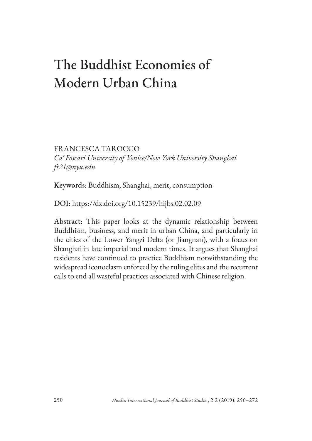# The Buddhist Economies of Modern Urban China

FRANCESCA TAROCCO *Ca' Foscari University of Venice/New York University Shanghai ft21@nyu.edu*

Keywords: Buddhism, Shanghai, merit, consumption

DOI: https://dx.doi.org/10.15239/hijbs.02.02.09

Abstract: This paper looks at the dynamic relationship between Buddhism, business, and merit in urban China, and particularly in the cities of the Lower Yangzi Delta (or Jiangnan), with a focus on Shanghai in late imperial and modern times. It argues that Shanghai residents have continued to practice Buddhism notwithstanding the widespread iconoclasm enforced by the ruling elites and the recurrent calls to end all wasteful practices associated with Chinese religion.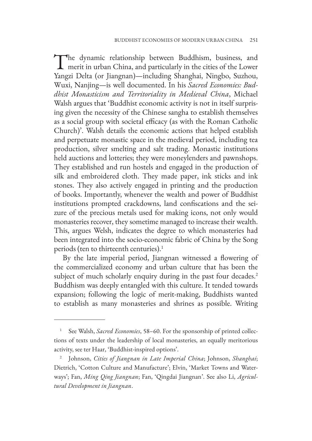The dynamic relationship between Buddhism, business, and merit in urban China, and particularly in the cities of the Lower Yangzi Delta (or Jiangnan)—including Shanghai, Ningbo, Suzhou, Wuxi, Nanjing—is well documented. In his *Sacred Economies: Buddhist Monasticism and Territoriality in Medieval China*, Michael Walsh argues that 'Buddhist economic activity is not in itself surprising given the necessity of the Chinese sangha to establish themselves as a social group with societal efficacy (as with the Roman Catholic Church)'. Walsh details the economic actions that helped establish and perpetuate monastic space in the medieval period, including tea production, silver smelting and salt trading. Monastic institutions held auctions and lotteries; they were moneylenders and pawnshops. They established and run hostels and engaged in the production of silk and embroidered cloth. They made paper, ink sticks and ink stones. They also actively engaged in printing and the production of books. Importantly, whenever the wealth and power of Buddhist institutions prompted crackdowns, land confiscations and the seizure of the precious metals used for making icons, not only would monasteries recover, they sometime managed to increase their wealth. This, argues Welsh, indicates the degree to which monasteries had been integrated into the socio-economic fabric of China by the Song periods (ten to thirteenth centuries).<sup>1</sup>

By the late imperial period, Jiangnan witnessed a flowering of the commercialized economy and urban culture that has been the subject of much scholarly enquiry during in the past four decades.<sup>2</sup> Buddhism was deeply entangled with this culture. It tended towards expansion; following the logic of merit-making, Buddhists wanted to establish as many monasteries and shrines as possible. Writing

<sup>&</sup>lt;sup>1</sup> See Walsh, *Sacred Economies*, 58–60. For the sponsorship of printed collections of texts under the leadership of local monasteries, an equally meritorious activity, see ter Haar, 'Buddhist-inspired options'.

<sup>2</sup> Johnson, *Cities of Jiangnan in Late Imperial China*; Johnson, *Shanghai*; Dietrich, 'Cotton Culture and Manufacture'; Elvin, 'Market Towns and Waterways'; Fan, *Ming Qing Jiangnan*; Fan, 'Qingdai Jiangnan'. See also Li, *Agricultural Development in Jiangnan*.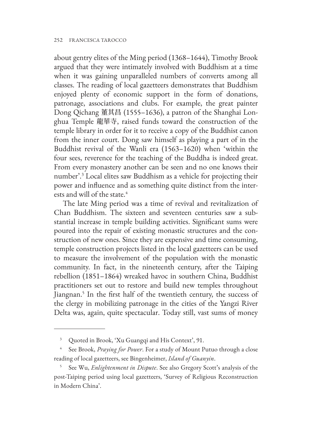about gentry elites of the Ming period (1368–1644), Timothy Brook argued that they were intimately involved with Buddhism at a time when it was gaining unparalleled numbers of converts among all classes. The reading of local gazetteers demonstrates that Buddhism enjoyed plenty of economic support in the form of donations, patronage, associations and clubs. For example, the great painter Dong Qichang 董其昌 (1555–1636), a patron of the Shanghai Longhua Temple 龍華寺, raised funds toward the construction of the temple library in order for it to receive a copy of the Buddhist canon from the inner court. Dong saw himself as playing a part of in the Buddhist revival of the Wanli era (1563–1620) when 'within the four sees, reverence for the teaching of the Buddha is indeed great. From every monastery another can be seen and no one knows their number'.3 Local elites saw Buddhism as a vehicle for projecting their power and influence and as something quite distinct from the interests and will of the state.<sup>4</sup>

The late Ming period was a time of revival and revitalization of Chan Buddhism. The sixteen and seventeen centuries saw a substantial increase in temple building activities. Significant sums were poured into the repair of existing monastic structures and the construction of new ones. Since they are expensive and time consuming, temple construction projects listed in the local gazetteers can be used to measure the involvement of the population with the monastic community. In fact, in the nineteenth century, after the Taiping rebellion (1851–1864) wreaked havoc in southern China, Buddhist practitioners set out to restore and build new temples throughout Jiangnan.<sup>5</sup> In the first half of the twentieth century, the success of the clergy in mobilizing patronage in the cities of the Yangzi River Delta was, again, quite spectacular. Today still, vast sums of money

<sup>3</sup> Quoted in Brook, 'Xu Guangqi and His Context', 91.

<sup>4</sup> See Brook, *Praying for Power*. For a study of Mount Putuo through a close reading of local gazetteers, see Bingenheimer, *Island of Guanyin*.

<sup>5</sup> See Wu, *Enlightenment in Dispute*. See also Gregory Scott's analysis of the post-Taiping period using local gazetteers, 'Survey of Religious Reconstruction in Modern China'.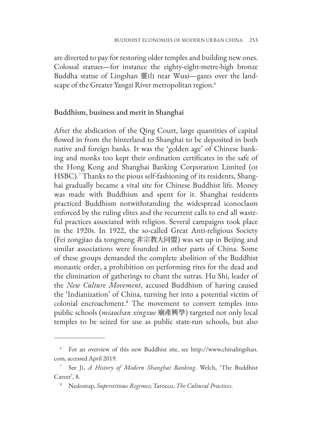are diverted to pay for restoring older temples and building new ones. Colossal statues—for instance the eighty-eight-metre-high bronze Buddha statue of Lingshan 靈山 near Wuxi—gazes over the landscape of the Greater Yangzi River metropolitan region.<sup>6</sup>

## Buddhism, business and merit in Shanghai

After the abdication of the Qing Court, large quantities of capital flowed in from the hinterland to Shanghai to be deposited in both native and foreign banks. It was the 'golden age' of Chinese banking and monks too kept their ordination certificates in the safe of the Hong Kong and Shanghai Banking Corporation Limited (or HSBC).<sup>7</sup> Thanks to the pious self-fashioning of its residents, Shanghai gradually became a vital site for Chinese Buddhist life. Money was made with Buddhism and spent for it. Shanghai residents practiced Buddhism notwithstanding the widespread iconoclasm enforced by the ruling elites and the recurrent calls to end all wasteful practices associated with religion. Several campaigns took place in the 1920s. In 1922, the so-called Great Anti-religious Society (Fei zongjiao da tongmeng 非宗教大同盟) was set up in Beijing and similar associations were founded in other parts of China. Some of these groups demanded the complete abolition of the Buddhist monastic order, a prohibition on performing rites for the dead and the elimination of gatherings to chant the sutras. Hu Shi, leader of the *New Culture Movement*, accused Buddhism of having caused the 'Indianization' of China, turning her into a potential victim of colonial encroachment.8 The movement to convert temples into public schools (*miaochan xingxue* 廟產興學) targeted not only local temples to be seized for use as public state-run schools, but also

<sup>6</sup> [For an overview of this new Buddhist site, see http://www.chinalingshan.](http://www.chinalingshan.com) com, accessed April 2019.

<sup>7</sup> See Ji, *A History of Modern Shanghai Banking*. Welch, 'The Buddhist Career', 8.

<sup>8</sup> Nedostup, *Superstitious Regimes*; Tarocco, *The Cultural Practices*.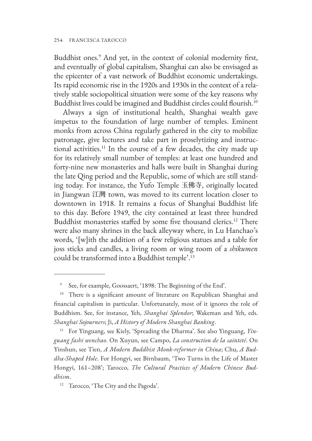Buddhist ones.9 And yet, in the context of colonial modernity first, and eventually of global capitalism, Shanghai can also be envisaged as the epicenter of a vast network of Buddhist economic undertakings. Its rapid economic rise in the 1920s and 1930s in the context of a relatively stable sociopolitical situation were some of the key reasons why Buddhist lives could be imagined and Buddhist circles could flourish.<sup>10</sup>

Always a sign of institutional health, Shanghai wealth gave impetus to the foundation of large number of temples. Eminent monks from across China regularly gathered in the city to mobilize patronage, give lectures and take part in proselytizing and instructional activities.<sup>11</sup> In the course of a few decades, the city made up for its relatively small number of temples: at least one hundred and forty-nine new monasteries and halls were built in Shanghai during the late Qing period and the Republic, some of which are still standing today. For instance, the Yufo Temple 玉佛寺, originally located in Jiangwan 江灣 town, was moved to its current location closer to downtown in 1918. It remains a focus of Shanghai Buddhist life to this day. Before 1949, the city contained at least three hundred Buddhist monasteries staffed by some five thousand clerics.<sup>12</sup> There were also many shrines in the back alleyway where, in Lu Hanchao's words, '[w]ith the addition of a few religious statues and a table for joss sticks and candles, a living room or wing room of a *shikumen* could be transformed into a Buddhist temple'.13

<sup>11</sup> For Yinguang, see Kiely, 'Spreading the Dharma'. See also Yinguang, *Yinguang fashi wenchao*. On Xuyun, see Campo, *La construction de la sainteté*. On Yinshun, see Tien, *A Modern Buddhist Monk-reformer in China*; Chu, *A Buddha-Shaped Hole*. For Hongyi, see Birnbaum, 'Two Turns in the Life of Master Hongyi, 161–208'; Tarocco, *The Cultural Practices of Modern Chinese Buddhism*.

<sup>9</sup> See, for example, Goossaert, '1898: The Beginning of the End'.

<sup>&</sup>lt;sup>10</sup> There is a significant amount of literature on Republican Shanghai and financial capitalism in particular. Unfortunately, most of it ignores the role of Buddhism. See, for instance, Yeh, *Shanghai Splendor*; Wakeman and Yeh, eds. *Shanghai Sojourners*; Ji, *A History of Modern Shanghai Banking*.

<sup>12</sup> Tarocco, 'The City and the Pagoda'.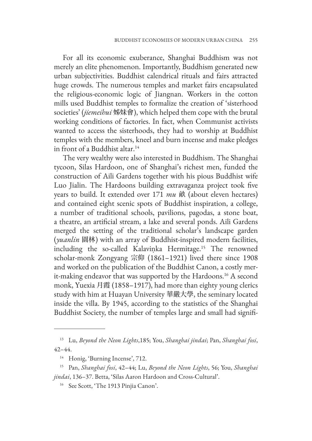For all its economic exuberance, Shanghai Buddhism was not merely an elite phenomenon. Importantly, Buddhism generated new urban subjectivities. Buddhist calendrical rituals and fairs attracted huge crowds. The numerous temples and market fairs encapsulated the religious-economic logic of Jiangnan. Workers in the cotton mills used Buddhist temples to formalize the creation of 'sisterhood societies' (*jiemeihui* 姊妹會), which helped them cope with the brutal working conditions of factories. In fact, when Communist activists wanted to access the sisterhoods, they had to worship at Buddhist temples with the members, kneel and burn incense and make pledges in front of a Buddhist altar.<sup>14</sup>

The very wealthy were also interested in Buddhism. The Shanghai tycoon, Silas Hardoon, one of Shanghai's richest men, funded the construction of Aili Gardens together with his pious Buddhist wife Luo Jialin. The Hardoons building extravaganza project took five years to build. It extended over 171 *mu* 畝 (about eleven hectares) and contained eight scenic spots of Buddhist inspiration, a college, a number of traditional schools, pavilions, pagodas, a stone boat, a theatre, an artificial stream, a lake and several ponds. Aili Gardens merged the setting of the traditional scholar's landscape garden (*yuanlin* 園林) with an array of Buddhist-inspired modern facilities, including the so-called Kalavinka Hermitage.<sup>15</sup> The renowned scholar-monk Zongyang 宗仰 (1861–1921) lived there since 1908 and worked on the publication of the Buddhist Canon, a costly merit-making endeavor that was supported by the Hardoons.<sup>16</sup> A second monk, Yuexia 月霞 (1858–1917), had more than eighty young clerics study with him at Huayan University 華嚴大學, the seminary located inside the villa. By 1945, according to the statistics of the Shanghai Buddhist Society, the number of temples large and small had signifi-

<sup>13</sup> Lu, *Beyond the Neon Lights*,185; You, *Shanghai jindai*; Pan, *Shanghai fosi*, 42–44.

<sup>&</sup>lt;sup>14</sup> Honig, 'Burning Incense', 712.

<sup>15</sup> Pan, *Shanghai fosi*, 42–44; Lu, *Beyond the Neon Lights*, 56; You, *Shanghai jindai*, 136–37. Betta, 'Silas Aaron Hardoon and Cross-Cultural'.

<sup>&</sup>lt;sup>16</sup> See Scott, 'The 1913 Pinjia Canon'.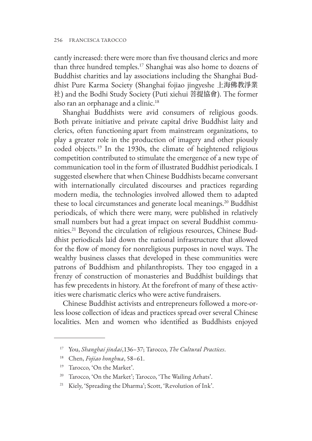cantly increased: there were more than five thousand clerics and more than three hundred temples.17 Shanghai was also home to dozens of Buddhist charities and lay associations including the Shanghai Buddhist Pure Karma Society (Shanghai fojiao jingyeshe 上海佛教淨業 社) and the Bodhi Study Society (Puti xiehui 菩提協會). The former also ran an orphanage and a clinic.<sup>18</sup>

Shanghai Buddhists were avid consumers of religious goods. Both private initiative and private capital drive Buddhist laity and clerics, often functioning apart from mainstream organizations, to play a greater role in the production of imagery and other piously coded objects.19 In the 1930s, the climate of heightened religious competition contributed to stimulate the emergence of a new type of communication tool in the form of illustrated Buddhist periodicals. I suggested elsewhere that when Chinese Buddhists became conversant with internationally circulated discourses and practices regarding modern media, the technologies involved allowed them to adapted these to local circumstances and generate local meanings.<sup>20</sup> Buddhist periodicals, of which there were many, were published in relatively small numbers but had a great impact on several Buddhist communities.21 Beyond the circulation of religious resources, Chinese Buddhist periodicals laid down the national infrastructure that allowed for the flow of money for nonreligious purposes in novel ways. The wealthy business classes that developed in these communities were patrons of Buddhism and philanthropists. They too engaged in a frenzy of construction of monasteries and Buddhist buildings that has few precedents in history. At the forefront of many of these activities were charismatic clerics who were active fundraisers.

Chinese Buddhist activists and entrepreneurs followed a more-orless loose collection of ideas and practices spread over several Chinese localities. Men and women who identified as Buddhists enjoyed

<sup>17</sup> You, *Shanghai jindai*,136–37; Tarocco, *The Cultural Practices*.

<sup>18</sup> Chen, *Fojiao honghua*, 58–61.

<sup>19</sup> Tarocco, 'On the Market'.

<sup>&</sup>lt;sup>20</sup> Tarocco, 'On the Market'; Tarocco, 'The Wailing Arhats'.

Kiely, 'Spreading the Dharma'; Scott, 'Revolution of Ink'.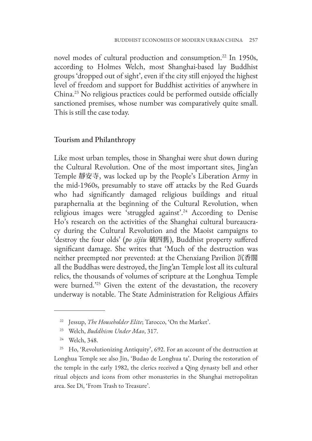novel modes of cultural production and consumption.<sup>22</sup> In 1950s, according to Holmes Welch, most Shanghai-based lay Buddhist groups 'dropped out of sight', even if the city still enjoyed the highest level of freedom and support for Buddhist activities of anywhere in China.23 No religious practices could be performed outside officially sanctioned premises, whose number was comparatively quite small. This is still the case today.

# Tourism and Philanthropy

Like most urban temples, those in Shanghai were shut down during the Cultural Revolution. One of the most important sites, Jing'an Temple 靜安寺, was locked up by the People's Liberation Army in the mid-1960s, presumably to stave off attacks by the Red Guards who had significantly damaged religious buildings and ritual paraphernalia at the beginning of the Cultural Revolution, when religious images were 'struggled against'.<sup>24</sup> According to Denise Ho's research on the activities of the Shanghai cultural bureaucracy during the Cultural Revolution and the Maoist campaigns to 'destroy the four olds' (*po sijiu* 破四舊), Buddhist property suffered significant damage. She writes that 'Much of the destruction was neither preempted nor prevented: at the Chenxiang Pavilion 沉香閣 all the Buddhas were destroyed, the Jing'an Temple lost all its cultural relics, the thousands of volumes of scripture at the Longhua Temple were burned.'25 Given the extent of the devastation, the recovery underway is notable. The State Administration for Religious Affairs

<sup>22</sup> Jessup, *The Householder Elite*; Tarocco, 'On the Market'.

<sup>23</sup> Welch, *Buddhism Under Mao*, 317.

<sup>24</sup> Welch, 348.

<sup>&</sup>lt;sup>25</sup> Ho, 'Revolutionizing Antiquity', 692. For an account of the destruction at Longhua Temple see also Jin, 'Budao de Longhua ta'. During the restoration of the temple in the early 1982, the clerics received a Qing dynasty bell and other ritual objects and icons from other monasteries in the Shanghai metropolitan area. See Di, 'From Trash to Treasure'.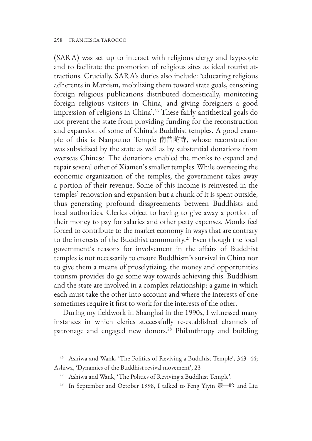(SARA) was set up to interact with religious clergy and laypeople and to facilitate the promotion of religious sites as ideal tourist attractions. Crucially, SARA's duties also include: 'educating religious adherents in Marxism, mobilizing them toward state goals, censoring foreign religious publications distributed domestically, monitoring foreign religious visitors in China, and giving foreigners a good impression of religions in China'.26 These fairly antithetical goals do not prevent the state from providing funding for the reconstruction and expansion of some of China's Buddhist temples. A good example of this is Nanputuo Temple 南普陀寺, whose reconstruction was subsidized by the state as well as by substantial donations from overseas Chinese. The donations enabled the monks to expand and repair several other of Xiamen's smaller temples.While overseeing the economic organization of the temples, the government takes away a portion of their revenue. Some of this income is reinvested in the temples' renovation and expansion but a chunk of it is spent outside, thus generating profound disagreements between Buddhists and local authorities. Clerics object to having to give away a portion of their money to pay for salaries and other petty expenses. Monks feel forced to contribute to the market economy in ways that are contrary to the interests of the Buddhist community.<sup>27</sup> Even though the local government's reasons for involvement in the affairs of Buddhist temples is not necessarily to ensure Buddhism's survival in China nor to give them a means of proselytizing, the money and opportunities tourism provides do go some way towards achieving this. Buddhism and the state are involved in a complex relationship: a game in which each must take the other into account and where the interests of one sometimes require it first to work for the interests of the other.

During my fieldwork in Shanghai in the 1990s, I witnessed many instances in which clerics successfully re-established channels of patronage and engaged new donors.<sup>28</sup> Philanthropy and building

<sup>&</sup>lt;sup>26</sup> Ashiwa and Wank, 'The Politics of Reviving a Buddhist Temple', 343-44; Ashiwa, 'Dynamics of the Buddhist revival movement', 23

<sup>27</sup> Ashiwa and Wank, 'The Politics of Reviving a Buddhist Temple'.

<sup>&</sup>lt;sup>28</sup> In September and October 1998, I talked to Feng Yiyin 豐一吟 and Liu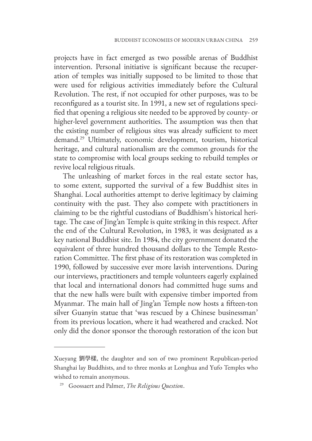projects have in fact emerged as two possible arenas of Buddhist intervention. Personal initiative is significant because the recuperation of temples was initially supposed to be limited to those that were used for religious activities immediately before the Cultural Revolution. The rest, if not occupied for other purposes, was to be reconfigured as a tourist site. In 1991, a new set of regulations specified that opening a religious site needed to be approved by county- or higher-level government authorities. The assumption was then that the existing number of religious sites was already sufficient to meet demand.29 Ultimately, economic development, tourism, historical heritage, and cultural nationalism are the common grounds for the state to compromise with local groups seeking to rebuild temples or revive local religious rituals.

The unleashing of market forces in the real estate sector has, to some extent, supported the survival of a few Buddhist sites in Shanghai. Local authorities attempt to derive legitimacy by claiming continuity with the past. They also compete with practitioners in claiming to be the rightful custodians of Buddhism's historical heritage. The case of Jing'an Temple is quite striking in this respect. After the end of the Cultural Revolution, in 1983, it was designated as a key national Buddhist site. In 1984, the city government donated the equivalent of three hundred thousand dollars to the Temple Restoration Committee. The first phase of its restoration was completed in 1990, followed by successive ever more lavish interventions. During our interviews, practitioners and temple volunteers eagerly explained that local and international donors had committed huge sums and that the new halls were built with expensive timber imported from Myanmar. The main hall of Jing'an Temple now hosts a fifteen-ton silver Guanyin statue that 'was rescued by a Chinese businessman' from its previous location, where it had weathered and cracked. Not only did the donor sponsor the thorough restoration of the icon but

Xueyang 劉學樣, the daughter and son of two prominent Republican-period Shanghai lay Buddhists, and to three monks at Longhua and Yufo Temples who wished to remain anonymous.

<sup>29</sup> Goossaert and Palmer, *The Religious Question*.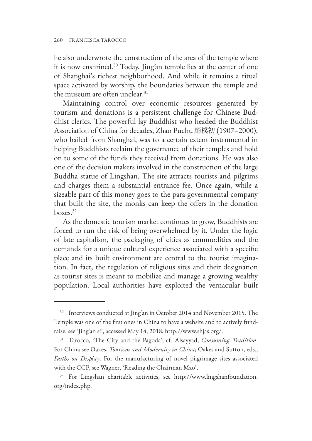he also underwrote the construction of the area of the temple where it is now enshrined.30 Today, Jing'an temple lies at the center of one of Shanghai's richest neighborhood. And while it remains a ritual space activated by worship, the boundaries between the temple and the museum are often unclear.<sup>31</sup>

Maintaining control over economic resources generated by tourism and donations is a persistent challenge for Chinese Buddhist clerics. The powerful lay Buddhist who headed the Buddhist Association of China for decades, Zhao Puchu 趙樸初 (1907–2000), who hailed from Shanghai, was to a certain extent instrumental in helping Buddhists reclaim the governance of their temples and hold on to some of the funds they received from donations. He was also one of the decision makers involved in the construction of the large Buddha statue of Lingshan. The site attracts tourists and pilgrims and charges them a substantial entrance fee. Once again, while a sizeable part of this money goes to the para-governmental company that built the site, the monks can keep the offers in the donation boxes.32

As the domestic tourism market continues to grow, Buddhists are forced to run the risk of being overwhelmed by it. Under the logic of late capitalism, the packaging of cities as commodities and the demands for a unique cultural experience associated with a specific place and its built environment are central to the tourist imagination. In fact, the regulation of religious sites and their designation as tourist sites is meant to mobilize and manage a growing wealthy population. Local authorities have exploited the vernacular built

<sup>&</sup>lt;sup>30</sup> Interviews conducted at Jing'an in October 2014 and November 2015. The Temple was one of the first ones in China to have a website and to actively fundraise, see 'Jing'an si', accessed May 14, 2018, http://www.shjas.org/.

<sup>31</sup> Tarocco, 'The City and the Pagoda'; cf. Alsayyad, *Consuming Tradition*. For China see Oakes, *Tourism and Modernity in China;* Oakes and Sutton, eds., *Faiths on Display*. For the manufacturing of novel pilgrimage sites associated with the CCP, see Wagner, 'Reading the Chairman Mao'.

<sup>32</sup> [For Lingshan charitable activities, see http://www.lingshanfoundation.](http://www.lingshanfoundation.org/index.php) org/index.php.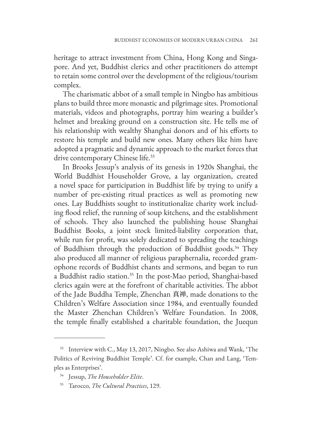heritage to attract investment from China, Hong Kong and Singapore. And yet, Buddhist clerics and other practitioners do attempt to retain some control over the development of the religious/tourism complex.

The charismatic abbot of a small temple in Ningbo has ambitious plans to build three more monastic and pilgrimage sites. Promotional materials, videos and photographs, portray him wearing a builder's helmet and breaking ground on a construction site. He tells me of his relationship with wealthy Shanghai donors and of his efforts to restore his temple and build new ones. Many others like him have adopted a pragmatic and dynamic approach to the market forces that drive contemporary Chinese life.<sup>33</sup>

In Brooks Jessup's analysis of its genesis in 1920s Shanghai, the World Buddhist Householder Grove, a lay organization, created a novel space for participation in Buddhist life by trying to unify a number of pre-existing ritual practices as well as promoting new ones. Lay Buddhists sought to institutionalize charity work including flood relief, the running of soup kitchens, and the establishment of schools. They also launched the publishing house Shanghai Buddhist Books, a joint stock limited-liability corporation that, while run for profit, was solely dedicated to spreading the teachings of Buddhism through the production of Buddhist goods.<sup>34</sup> They also produced all manner of religious paraphernalia, recorded gramophone records of Buddhist chants and sermons, and began to run a Buddhist radio station.<sup>35</sup> In the post-Mao period, Shanghai-based clerics again were at the forefront of charitable activities. The abbot of the Jade Buddha Temple, Zhenchan 真禅, made donations to the Children's Welfare Association since 1984, and eventually founded the Master Zhenchan Children's Welfare Foundation. In 2008, the temple finally established a charitable foundation, the Juequn

<sup>33</sup> Interview with C., May 13, 2017, Ningbo. See also Ashiwa and Wank, 'The Politics of Reviving Buddhist Temple'. Cf. for example, Chan and Lang, 'Temples as Enterprises'.

<sup>34</sup> Jessup, *The Householder Elite*.

<sup>35</sup> Tarocco, *The Cultural Practices*, 129.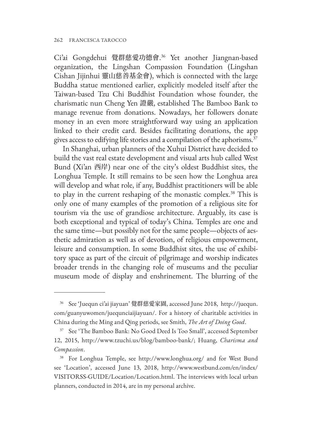Ci'ai Gongdehui 覺群慈愛功德會. 36 Yet another Jiangnan-based organization, the Lingshan Compassion Foundation (Lingshan Cishan Jijinhui 靈山慈善基金會), which is connected with the large Buddha statue mentioned earlier, explicitly modeled itself after the Taiwan-based Tzu Chi Buddhist Foundation whose founder, the charismatic nun Cheng Yen 證嚴, established The Bamboo Bank to manage revenue from donations. Nowadays, her followers donate money in an even more straightforward way using an application linked to their credit card. Besides facilitating donations, the app gives access to edifying life stories and a compilation of the aphorisms.<sup>37</sup>

In Shanghai, urban planners of the Xuhui District have decided to build the vast real estate development and visual arts hub called West Bund (Xi'an 西岸) near one of the city's oldest Buddhist sites, the Longhua Temple. It still remains to be seen how the Longhua area will develop and what role, if any, Buddhist practitioners will be able to play in the current reshaping of the monastic complex.38 This is only one of many examples of the promotion of a religious site for tourism via the use of grandiose architecture. Arguably, its case is both exceptional and typical of today's China. Temples are one and the same time—but possibly not for the same people—objects of aesthetic admiration as well as of devotion, of religious empowerment, leisure and consumption. In some Buddhist sites, the use of exhibitory space as part of the circuit of pilgrimage and worship indicates broader trends in the changing role of museums and the peculiar museum mode of display and enshrinement. The blurring of the

<sup>36</sup> See 'Juequn ci'ai jiayuan' 覺群慈愛家園, accessed June 2018, http://juequn. [com/guanyuwomen/juequnciaijiayuan/. For a history of charitable activities in](http://juequn.com/guanyuwomen/juequnciaijiayuan/) China during the Ming and Qing periods, see Smith, *The Art of Doing Good*.

<sup>&</sup>lt;sup>37</sup> See 'The Bamboo Bank: No Good Deed Is Too Small', accessed September 12, 2015, http://www.tzuchi.us/blog/bamboo-bank/; Huang, *Charisma and Compassion*.

<sup>38</sup> For Longhua Temple, see http://www.longhua.org/ and for West Bund [see 'Location', accessed June 13, 2018, http://www.westbund.com/en/index/](http://www.westbund.com/en/index/VISITORSS-GUIDE/Location/Location.html) VISITORSS-GUIDE/Location/Location.html. The interviews with local urban planners, conducted in 2014, are in my personal archive.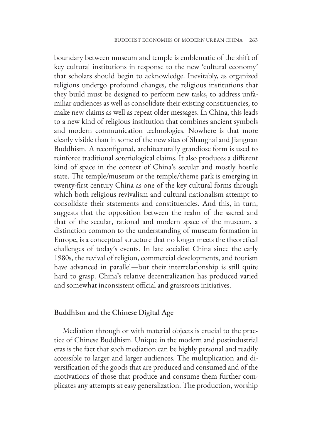boundary between museum and temple is emblematic of the shift of key cultural institutions in response to the new 'cultural economy' that scholars should begin to acknowledge. Inevitably, as organized religions undergo profound changes, the religious institutions that they build must be designed to perform new tasks, to address unfamiliar audiences as well as consolidate their existing constituencies, to make new claims as well as repeat older messages. In China, this leads to a new kind of religious institution that combines ancient symbols and modern communication technologies. Nowhere is that more clearly visible than in some of the new sites of Shanghai and Jiangnan Buddhism. A reconfigured, architecturally grandiose form is used to reinforce traditional soteriological claims. It also produces a different kind of space in the context of China's secular and mostly hostile state. The temple/museum or the temple/theme park is emerging in twenty-first century China as one of the key cultural forms through which both religious revivalism and cultural nationalism attempt to consolidate their statements and constituencies. And this, in turn, suggests that the opposition between the realm of the sacred and that of the secular, rational and modern space of the museum, a distinction common to the understanding of museum formation in Europe, is a conceptual structure that no longer meets the theoretical challenges of today's events. In late socialist China since the early 1980s, the revival of religion, commercial developments, and tourism have advanced in parallel—but their interrelationship is still quite hard to grasp. China's relative decentralization has produced varied and somewhat inconsistent official and grassroots initiatives.

#### Buddhism and the Chinese Digital Age

Mediation through or with material objects is crucial to the practice of Chinese Buddhism. Unique in the modern and postindustrial eras is the fact that such mediation can be highly personal and readily accessible to larger and larger audiences. The multiplication and diversification of the goods that are produced and consumed and of the motivations of those that produce and consume them further complicates any attempts at easy generalization. The production, worship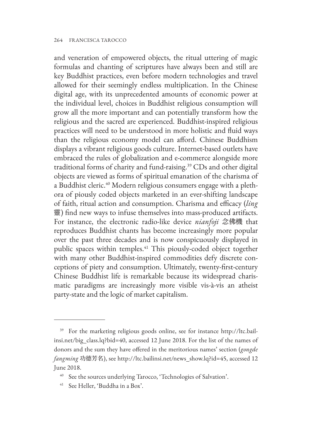and veneration of empowered objects, the ritual uttering of magic formulas and chanting of scriptures have always been and still are key Buddhist practices, even before modern technologies and travel allowed for their seemingly endless multiplication. In the Chinese digital age, with its unprecedented amounts of economic power at the individual level, choices in Buddhist religious consumption will grow all the more important and can potentially transform how the religious and the sacred are experienced. Buddhist-inspired religious practices will need to be understood in more holistic and fluid ways than the religious economy model can afford. Chinese Buddhism displays a vibrant religious goods culture. Internet-based outlets have embraced the rules of globalization and e-commerce alongside more traditional forms of charity and fund-raising.39 CDs and other digital objects are viewed as forms of spiritual emanation of the charisma of a Buddhist cleric.40 Modern religious consumers engage with a plethora of piously coded objects marketed in an ever-shifting landscape of faith, ritual action and consumption. Charisma and efficacy (*ling*  靈) find new ways to infuse themselves into mass-produced artifacts. For instance, the electronic radio-like device *nianfoji* 念佛機 that reproduces Buddhist chants has become increasingly more popular over the past three decades and is now conspicuously displayed in public spaces within temples.<sup>41</sup> This piously-coded object together with many other Buddhist-inspired commodities defy discrete conceptions of piety and consumption. Ultimately, twenty-first-century Chinese Buddhist life is remarkable because its widespread charismatic paradigms are increasingly more visible vis-à-vis an atheist party-state and the logic of market capitalism.

<sup>39</sup> For the marketing religious goods online, see for instance http://ltc.bail[insi.net/big\\_class.lq?bid=40, accessed 12 June 2018. For the list of the names of](http://ltc.bailinsi.net/big_class.lq?bid=40) donors and the sum they have offered in the meritorious names' section (*gongde fangming* 功德芳名), see http://ltc.bailinsi.net/news\_show.lq?id=45, accessed 12 June 2018.

See the sources underlying Tarocco, 'Technologies of Salvation'.

<sup>41</sup> See Heller, 'Buddha in a Box'.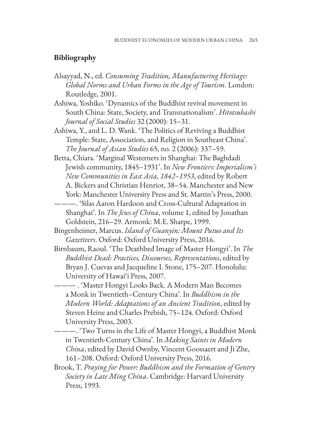## **Bibliography**

- Alsayyad, N., ed. *Consuming Tradition, Manufacturing Heritage: Global Norms and Urban Forms in the Age of Tourism*. London: Routledge, 2001.
- Ashiwa, Yoshiko. 'Dynamics of the Buddhist revival movement in South China: State, Society, and Transnationalism'. *Hitotsubashi Journal of Social Studies* 32 (2000): 15–31.
- Ashiwa, Y., and L. D. Wank. 'The Politics of Reviving a Buddhist Temple: State, Association, and Religion in Southeast China'. *The Journal of Asian Studies* 65, no. 2 (2006): 337–59.
- Betta, Chiara. 'Marginal Westerners in Shanghai: The Baghdadi Jewish community, 1845–1931'. In *New Frontiers: Imperialism's New Communities in East Asia, 1842–1953*, edited by Robert A. Bickers and Christian Henriot, 38–54. Manchester and New York: Manchester University Press and St. Martin's Press, 2000.
- ———. 'Silas Aaron Hardoon and Cross-Cultural Adaptation in Shanghai'. In *The Jews of China*, volume 1, edited by Jonathan Goldstein, 216–29. Armonk: M.E. Sharpe, 1999.
- Bingenheimer, Marcus. *Island of Guanyin: Mount Putuo and Its Gazetteers*. Oxford: Oxford University Press, 2016.
- Birnbaum, Raoul. 'The Deathbed Image of Master Hongyi'. In *The Buddhist Dead: Practices, Discourses, Representations*, edited by Bryan J. Cuevas and Jacqueline I. Stone, 175–207. Honolulu: University of Hawai'i Press, 2007.
	- ——— . 'Master Hongyi Looks Back. A Modern Man Becomes a Monk in Twentieth–Century China'. In *Buddhism in the Modern World: Adaptations of an Ancient Tradition*, edited by Steven Heine and Charles Prebish, 75–124. Oxford: Oxford University Press, 2003.
- ———. 'Two Turns in the Life of Master Hongyi, a Buddhist Monk in Twentieth-Century China'. In *Making Saints in Modern China*, edited by David Ownby, Vincent Goossaert and Ji Zhe, 161–208. Oxford: Oxford University Press, 2016.
- Brook, T. *Praying for Power: Buddhism and the Formation of Gentry Society in Late Ming China*. Cambridge: Harvard University Press, 1993.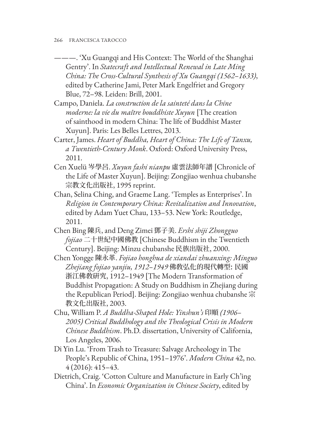- ———. 'Xu Guangqi and His Context: The World of the Shanghai Gentry'. In *Statecraft and Intellectual Renewal in Late Ming China: The Cross-Cultural Synthesis of Xu Guangqi (1562–1633)*, edited by Catherine Jami, Peter Mark Engelfriet and Gregory Blue, 72–98. Leiden: Brill, 2001.
- Campo, Daniela. *La construction de la sainteté dans la Chine moderne: la vie du maître bouddhiste Xuyun* [The creation of sainthood in modern China: The life of Buddhist Master Xuyun]. Paris: Les Belles Lettres, 2013.
- Carter, James. *Heart of Buddha, Heart of China: The Life of Tanxu, a Twentieth-Century Monk*. Oxford: Oxford University Press, 2011.
- Cen Xuelü 岑學呂. *Xuyun fashi nianpu* 虛雲法師年譜 [Chronicle of the Life of Master Xuyun]. Beijing: Zongjiao wenhua chubanshe 宗教文化出版社, 1995 reprint.
- Chan, Selina Ching, and Graeme Lang. 'Temples as Enterprises'. In *Religion in Contemporary China: Revitalization and Innovation*, edited by Adam Yuet Chau, 133–53. New York: Routledge, 2011.
- Chen Bing 陳兵, and Deng Zimei 鄧子美. *Ershi shiji Zhongguo fojiao* 二十世紀中國佛教 [Chinese Buddhism in the Twentieth Century]. Beijing: Minzu chubanshe 民族出版社, 2000.
- Chen Yongge 陳永革. *Fojiao honghua de xiandai zhuanxing: Minguo Zhejiang fojiao yanjiu, 1912–1949* 佛敎弘化的現代轉型: 民國 浙江佛敎硏究, 1912–1949 [The Modern Transformation of Buddhist Propagation: A Study on Buddhism in Zhejiang during the Republican Period]. Beijing: Zongjiao wenhua chubanshe 宗 教文化出版社, 2003.
- Chu, William P. *A Buddha-Shaped Hole: Yinshun's* 印順 *(1906– 2005) Critical Buddhology and the Theological Crisis in Modern Chinese Buddhism*. Ph.D. dissertation, University of California, Los Angeles, 2006.
- Di Yin Lu. 'From Trash to Treasure: Salvage Archeology in The People's Republic of China, 1951–1976'. *Modern China* 42, no. 4 (2016): 415–43.
- Dietrich, Craig. 'Cotton Culture and Manufacture in Early Ch'ing China'. In *Economic Organization in Chinese Society*, edited by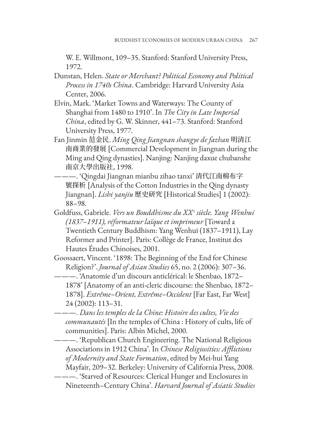W. E. Willmont, 109–35. Stanford: Stanford University Press, 1972.

- Dunstan, Helen. *State or Merchant? Political Economy and Political Process in 1740s China*. Cambridge: Harvard University Asia Center, 2006.
- Elvin, Mark. 'Market Towns and Waterways: The County of Shanghai from 1480 to 1910'. In *The City in Late Imperial China*, edited by G. W. Skinner, 441–73. Stanford: Stanford University Press, 1977.
- Fan Jinmin 范金民. *Ming Qing Jiangnan shangye de fazhan* 明清江 南商業的發展 [Commercial Development in Jiangnan during the Ming and Qing dynasties]. Nanjing: Nanjing daxue chubanshe 南京大學出版社, 1998.
- ———. 'Qingdai Jiangnan mianbu zihao tanxi' 清代江南棉布字 號探析 [Analysis of the Cotton Industries in the Qing dynasty Jiangnan]. *Lishi yanjiu* 歷史研究 [Historical Studies] 1 (2002): 88–98.
- Goldfuss, Gabriele. *Vers un Bouddhisme du XXe siècle. Yang Wenhui (1837–1911), réformateur laïque et imprimeur* [Toward a Twentieth Century Buddhism: Yang Wenhui (1837–1911), Lay Reformer and Printer]. Paris: Collège de France, Institut des Hautes Études Chinoises, 2001.
- Goossaert, Vincent. '1898: The Beginning of the End for Chinese Religion?'. *Journal of Asian Studies* 65, no. 2 (2006): 307–36.
	- ———. 'Anatomie d'un discours anticlérical: le Shenbao, 1872– 1878' [Anatomy of an anti-cleric discourse: the Shenbao, 1872– 1878]. *Extrême–Orient, Extrême–Occident* [Far East, Far West] 24 (2002): 113–31.
- ———. *Dans les temples de la Chine: Histoire des cultes, Vie des communautés* [In the temples of China : History of cults, life of communities]. Paris: Albin Michel, 2000.

———. 'Republican Church Engineering. The National Religious Associations in 1912 China'. In *Chinese Religiosities: Afflictions of Modernity and State Formation*, edited by Mei-hui Yang Mayfair, 209–32. Berkeley: University of California Press, 2008.

<sup>———. &#</sup>x27;Starved of Resources: Clerical Hunger and Enclosures in Nineteenth–Century China'. *Harvard Journal of Asiatic Studies*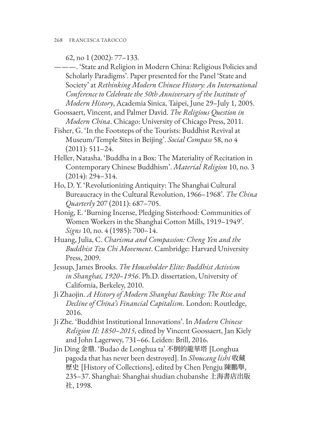62, no 1 (2002): 77–133.

———. 'State and Religion in Modern China: Religious Policies and Scholarly Paradigms'. Paper presented for the Panel 'State and Society' at *Rethinking Modern Chinese History: An International Conference to Celebrate the 50th Anniversary of the Institute of Modern History*, Academia Sinica, Taipei, June 29–July 1, 2005.

Goossaert, Vincent, and Palmer David. *The Religious Question in Modern China*. Chicago: University of Chicago Press, 2011.

Fisher, G. 'In the Footsteps of the Tourists: Buddhist Revival at Museum/Temple Sites in Beijing'. *Social Compass* 58, no 4 (2011): 511–24.

- Heller, Natasha. 'Buddha in a Box: The Materiality of Recitation in Contemporary Chinese Buddhism'. *Material Religion* 10, no. 3 (2014): 294–314.
- Ho, D. Y. 'Revolutionizing Antiquity: The Shanghai Cultural Bureaucracy in the Cultural Revolution, 1966–1968'. *The China Quarterly* 207 (2011): 687–705.
- Honig, E. 'Burning Incense, Pledging Sisterhood: Communities of Women Workers in the Shanghai Cotton Mills, 1919–1949'. *Signs* 10, no. 4 (1985): 700–14.
- Huang, Julia, C. *Charisma and Compassion: Cheng Yen and the Buddhist Tzu Chi Movement*. Cambridge: Harvard University Press, 2009.
- Jessup, James Brooks. *The Householder Elite: Buddhist Activism in Shanghai, 1920–1956*. Ph.D. dissertation, University of California, Berkeley, 2010.
- Ji Zhaojin. *A History of Modern Shanghai Banking: The Rise and Decline of China's Financial Capitalism*. London: Routledge, 2016.
- Ji Zhe. 'Buddhist Institutional Innovations'. In *Modern Chinese Religion II: 1850–2015*, edited by Vincent Goossaert, Jan Kiely and John Lagerwey, 731–66. Leiden: Brill, 2016.
- Jin Ding 金鼎. 'Budao de Longhua ta' 不倒的龍華塔 [Longhua pagoda that has never been destroyed]. In *Shoucang lishi* 收藏 歷史 [History of Collections], edited by Chen Pengju 陳鵬舉, 235–37. Shanghai: Shanghai shudian chubanshe 上海書店出版 社, 1998.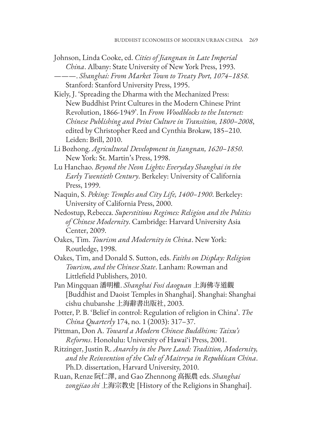- Johnson, Linda Cooke, ed. *Cities of Jiangnan in Late Imperial China*. Albany: State University of New York Press, 1993. ———. *Shanghai: From Market Town to Treaty Port, 1074–1858*. Stanford: Stanford University Press, 1995.
- Kiely, J. 'Spreading the Dharma with the Mechanized Press: New Buddhist Print Cultures in the Modern Chinese Print Revolution, 1866-1949'. In *From Woodblocks to the Internet: Chinese Publishing and Print Culture in Transition, 1800–2008*, edited by Christopher Reed and Cynthia Brokaw, 185–210. Leiden: Brill, 2010.
- Li Bozhong. *Agricultural Development in Jiangnan, 1620–1850*. New York: St. Martin's Press, 1998.
- Lu Hanchao. *Beyond the Neon Lights: Everyday Shanghai in the Early Twentieth Century*. Berkeley: University of California Press, 1999.
- Naquin, S. *Peking: Temples and City Life, 1400–1900*. Berkeley: University of California Press, 2000.
- Nedostup, Rebecca. *Superstitious Regimes: Religion and the Politics of Chinese Modernity*. Cambridge: Harvard University Asia Center, 2009.
- Oakes, Tim. *Tourism and Modernity in China*. New York: Routledge, 1998.
- Oakes, Tim, and Donald S. Sutton, eds. *Faiths on Display: Religion Tourism, and the Chinese State*. Lanham: Rowman and Littlefield Publishers, 2010.
- Pan Mingquan 潘明權. *Shanghai Fosi daoguan* 上海佛寺道觀 [Buddhist and Daoist Temples in Shanghai]. Shanghai: Shanghai cishu chubanshe 上海辭書出版社, 2003.
- Potter, P. B. 'Belief in control: Regulation of religion in China'. *The China Quarterly* 174, no. 1 (2003): 317–37.
- Pittman, Don A. *Toward a Modern Chinese Buddhism: Taixu's Reforms*. Honolulu: University of Hawai'i Press, 2001.
- Ritzinger, Justin R. *Anarchy in the Pure Land: Tradition, Modernity, and the Reinvention of the Cult of Maitreya in Republican China*. Ph.D. dissertation, Harvard University, 2010.
- Ruan, Renze 阮仁澤, and Gao Zhennong 高振農 eds. *Shanghai zongjiao shi* 上海宗教史 [History of the Religions in Shanghai].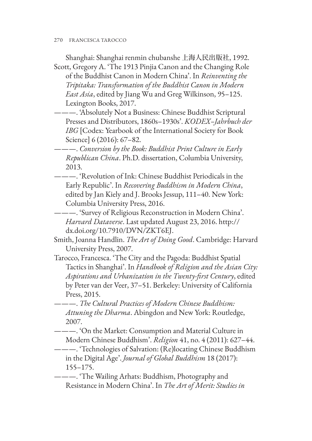270 FRANCESCA TAROCCO

Shanghai: Shanghai renmin chubanshe 上海人民出版社, 1992. Scott, Gregory A. 'The 1913 Pinjia Canon and the Changing Role

of the Buddhist Canon in Modern China'. In *Reinventing the Tripitaka: Transformation of the Buddhist Canon in Modern East Asia*, edited by Jiang Wu and Greg Wilkinson, 95–125. Lexington Books, 2017.

———. 'Absolutely Not a Business: Chinese Buddhist Scriptural Presses and Distributors, 1860s–1930s'. *KODEX–Jahrbuch der IBG* [Codex: Yearbook of the International Society for Book Science] 6 (2016): 67–82.

———. *Conversion by the Book: Buddhist Print Culture in Early Republican China*. Ph.D. dissertation, Columbia University, 2013.

———. 'Revolution of Ink: Chinese Buddhist Periodicals in the Early Republic'. In *Recovering Buddhism in Modern China*, edited by Jan Kiely and J. Brooks Jessup, 111–40. New York: Columbia University Press, 2016.

———. 'Survey of Religious Reconstruction in Modern China'. *Harvard Dataverse*[. Last updated August 23, 2016. http://](http://dx.doi.org/10.7910/DVN/ZKT6EJ) dx.doi.org/10.7910/DVN/ZKT6EJ.

Smith, Joanna Handlin. *The Art of Doing Good*. Cambridge: Harvard University Press, 2007.

Tarocco, Francesca. 'The City and the Pagoda: Buddhist Spatial Tactics in Shanghai'. In *Handbook of Religion and the Asian City: Aspirations and Urbanization in the Twenty-first Century*, edited by Peter van der Veer, 37–51. Berkeley: University of California Press, 2015.

———. *The Cultural Practices of Modern Chinese Buddhism: Attuning the Dharma*. Abingdon and New York: Routledge, 2007.

———. 'On the Market: Consumption and Material Culture in Modern Chinese Buddhism'. *Religion* 41, no. 4 (2011): 627–44.

———. 'Technologies of Salvation: (Re)locating Chinese Buddhism in the Digital Age'. *Journal of Global Buddhism* 18 (2017): 155–175.

———. 'The Wailing Arhats: Buddhism, Photography and Resistance in Modern China'. In *The Art of Merit: Studies in*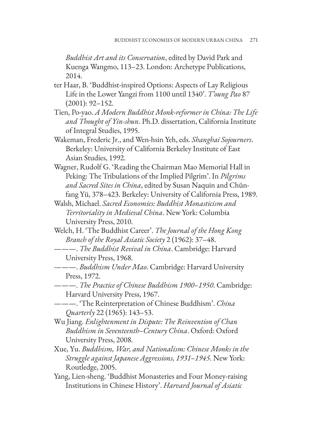*Buddhist Art and its Conservation*, edited by David Park and Kuenga Wangmo, 113–23. London: Archetype Publications, 2014.

- ter Haar, B. 'Buddhist-inspired Options: Aspects of Lay Religious Life in the Lower Yangzi from 1100 until 1340'. *T'oung Pao* 87 (2001): 92–152.
- Tien, Po-yao. *A Modern Buddhist Monk-reformer in China: The Life and Thought of Yin-shun*. Ph.D. dissertation, California Institute of Integral Studies, 1995.
- Wakeman, Frederic Jr., and Wen-hsin Yeh, eds. *Shanghai Sojourners*. Berkeley: University of California Berkeley Institute of East Asian Studies, 1992.
- Wagner, Rudolf G. 'Reading the Chairman Mao Memorial Hall in Peking: The Tribulations of the Implied Pilgrim'. In *Pilgrims and Sacred Sites in China*, edited by Susan Naquin and Chünfang Yü, 378–423. Berkeley: University of California Press, 1989.
- Walsh, Michael. *Sacred Economies: Buddhist Monasticism and Territoriality in Medieval China*. New York: Columbia University Press, 2010.
- Welch, H. 'The Buddhist Career'. *The Journal of the Hong Kong Branch of the Royal Asiatic Society* 2 (1962): 37–48.
- ———. *The Buddhist Revival in China*. Cambridge: Harvard University Press, 1968.
- ———. *Buddhism Under Mao*. Cambridge: Harvard University Press, 1972.
- ———. *The Practice of Chinese Buddhism 1900–1950*. Cambridge: Harvard University Press, 1967.
- ———. 'The Reinterpretation of Chinese Buddhism'. *China Quarterly* 22 (1965): 143–53.
- Wu Jiang. *Enlightenment in Dispute: The Reinvention of Chan Buddhism in Seventeenth–Century China*. Oxford: Oxford University Press, 2008.
- Xue, Yu. *Buddhism, War, and Nationalism: Chinese Monks in the Struggle against Japanese Aggressions, 1931–1945*. New York: Routledge, 2005.
- Yang, Lien-sheng. 'Buddhist Monasteries and Four Money-raising Institutions in Chinese History'. *Harvard Journal of Asiatic*